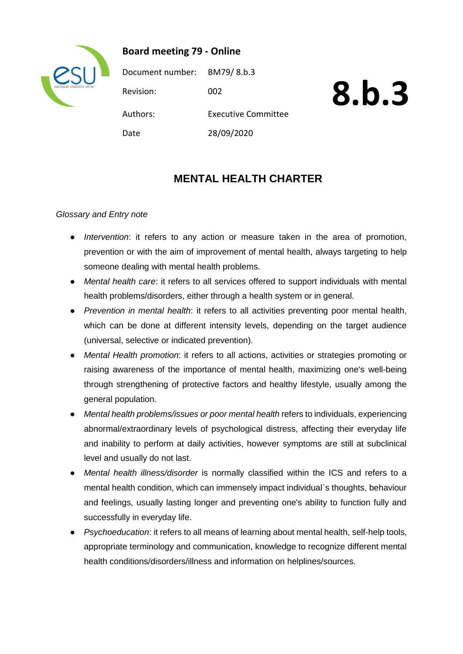

**Board meeting 79 - Online**

Document number: BM79/ 8.b.3 Revision: 002 Authors: Executive Committee Date 28/09/2020

# **8.b.3**

# **MENTAL HEALTH CHARTER**

# *Glossary and Entry note*

- *Intervention*: it refers to any action or measure taken in the area of promotion, prevention or with the aim of improvement of mental health, always targeting to help someone dealing with mental health problems.
- *Mental health care*: it refers to all services offered to support individuals with mental health problems/disorders, either through a health system or in general.
- *Prevention in mental health*: it refers to all activities preventing poor mental health, which can be done at different intensity levels, depending on the target audience (universal, selective or indicated prevention).
- *Mental Health promotion*: it refers to all actions, activities or strategies promoting or raising awareness of the importance of mental health, maximizing one's well-being through strengthening of protective factors and healthy lifestyle, usually among the general population.
- *Mental health problems/issues or poor mental health* refers to individuals, experiencing abnormal/extraordinary levels of psychological distress, affecting their everyday life and inability to perform at daily activities, however symptoms are still at subclinical level and usually do not last.
- *Mental health illness/disorder* is normally classified within the ICS and refers to a mental health condition, which can immensely impact individual`s thoughts, behaviour and feelings, usually lasting longer and preventing one's ability to function fully and successfully in everyday life.
- *Psychoeducation*: it refers to all means of learning about mental health, self-help tools, appropriate terminology and communication, knowledge to recognize different mental health conditions/disorders/illness and information on helplines/sources.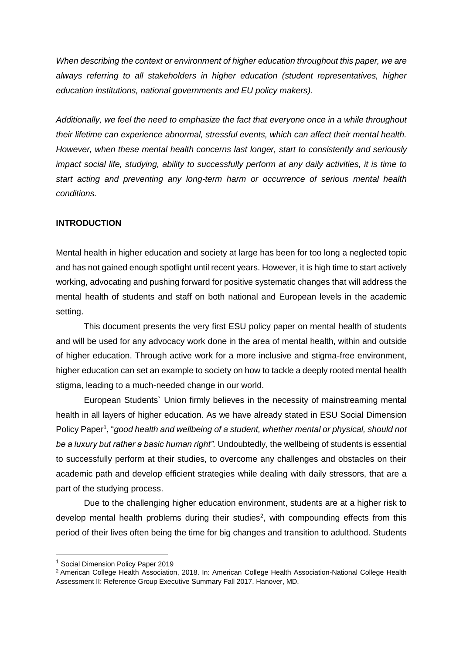*When describing the context or environment of higher education throughout this paper, we are always referring to all stakeholders in higher education (student representatives, higher education institutions, national governments and EU policy makers).*

*Additionally, we feel the need to emphasize the fact that everyone once in a while throughout their lifetime can experience abnormal, stressful events, which can affect their mental health. However, when these mental health concerns last longer, start to consistently and seriously impact social life, studying, ability to successfully perform at any daily activities, it is time to start acting and preventing any long-term harm or occurrence of serious mental health conditions.* 

## **INTRODUCTION**

Mental health in higher education and society at large has been for too long a neglected topic and has not gained enough spotlight until recent years. However, it is high time to start actively working, advocating and pushing forward for positive systematic changes that will address the mental health of students and staff on both national and European levels in the academic setting.

This document presents the very first ESU policy paper on mental health of students and will be used for any advocacy work done in the area of mental health, within and outside of higher education. Through active work for a more inclusive and stigma-free environment, higher education can set an example to society on how to tackle a deeply rooted mental health stigma, leading to a much-needed change in our world.

European Students` Union firmly believes in the necessity of mainstreaming mental health in all layers of higher education. As we have already stated in ESU Social Dimension Policy Paper<sup>1</sup>, "good health and wellbeing of a student, whether mental or physical, should not *be a luxury but rather a basic human right".* Undoubtedly, the wellbeing of students is essential to successfully perform at their studies, to overcome any challenges and obstacles on their academic path and develop efficient strategies while dealing with daily stressors, that are a part of the studying process.

Due to the challenging higher education environment, students are at a higher risk to develop mental health problems during their studies<sup>2</sup>, with compounding effects from this period of their lives often being the time for big changes and transition to adulthood. Students

-

<sup>&</sup>lt;sup>1</sup> Social Dimension Policy Paper 2019

<sup>&</sup>lt;sup>2</sup> American College Health Association, 2018. In: American College Health Association-National College Health Assessment II: Reference Group Executive Summary Fall 2017. Hanover, MD.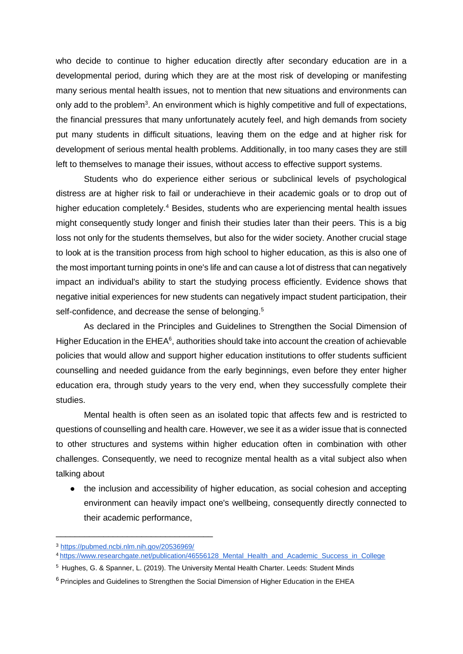who decide to continue to higher education directly after secondary education are in a developmental period, during which they are at the most risk of developing or manifesting many serious mental health issues, not to mention that new situations and environments can only add to the problem<sup>3</sup>. An environment which is highly competitive and full of expectations, the financial pressures that many unfortunately acutely feel, and high demands from society put many students in difficult situations, leaving them on the edge and at higher risk for development of serious mental health problems. Additionally, in too many cases they are still left to themselves to manage their issues, without access to effective support systems.

Students who do experience either serious or subclinical levels of psychological distress are at higher risk to fail or underachieve in their academic goals or to drop out of higher education completely.<sup>4</sup> Besides, students who are experiencing mental health issues might consequently study longer and finish their studies later than their peers. This is a big loss not only for the students themselves, but also for the wider society. Another crucial stage to look at is the transition process from high school to higher education, as this is also one of the most important turning points in one's life and can cause a lot of distress that can negatively impact an individual's ability to start the studying process efficiently. Evidence shows that negative initial experiences for new students can negatively impact student participation, their self-confidence, and decrease the sense of belonging.<sup>5</sup>

As declared in the Principles and Guidelines to Strengthen the Social Dimension of Higher Education in the EHEA<sup>6</sup>, authorities should take into account the creation of achievable policies that would allow and support higher education institutions to offer students sufficient counselling and needed guidance from the early beginnings, even before they enter higher education era, through study years to the very end, when they successfully complete their studies.

Mental health is often seen as an isolated topic that affects few and is restricted to questions of counselling and health care. However, we see it as a wider issue that is connected to other structures and systems within higher education often in combination with other challenges. Consequently, we need to recognize mental health as a vital subject also when talking about

• the inclusion and accessibility of higher education, as social cohesion and accepting environment can heavily impact one's wellbeing, consequently directly connected to their academic performance,

\_\_\_\_\_\_\_\_\_\_\_\_\_\_\_\_\_\_\_\_\_\_\_\_\_\_\_\_\_\_\_\_\_

<sup>3</sup> <https://pubmed.ncbi.nlm.nih.gov/20536969/>

<sup>4</sup>[https://www.researchgate.net/publication/46556128\\_Mental\\_Health\\_and\\_Academic\\_Success\\_in\\_College](https://www.researchgate.net/publication/46556128_Mental_Health_and_Academic_Success_in_College)

<sup>&</sup>lt;sup>5</sup> Hughes, G. & Spanner, L. (2019). The University Mental Health Charter. Leeds: Student Minds

<sup>&</sup>lt;sup>6</sup> Principles and Guidelines to Strengthen the Social Dimension of Higher Education in the EHEA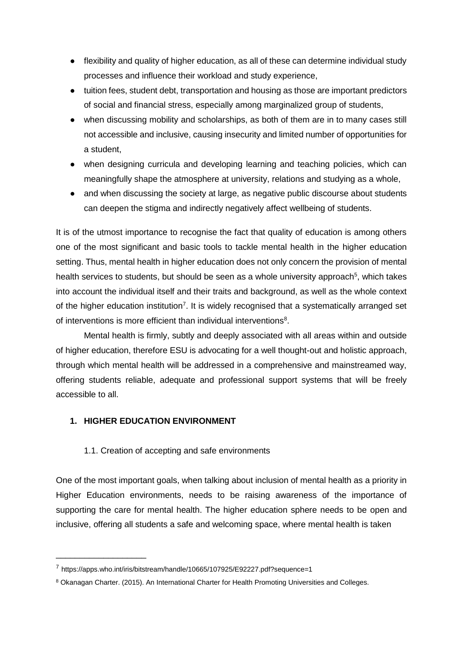- flexibility and quality of higher education, as all of these can determine individual study processes and influence their workload and study experience,
- tuition fees, student debt, transportation and housing as those are important predictors of social and financial stress, especially among marginalized group of students,
- when discussing mobility and scholarships, as both of them are in to many cases still not accessible and inclusive, causing insecurity and limited number of opportunities for a student,
- when designing curricula and developing learning and teaching policies, which can meaningfully shape the atmosphere at university, relations and studying as a whole,
- and when discussing the society at large, as negative public discourse about students can deepen the stigma and indirectly negatively affect wellbeing of students.

It is of the utmost importance to recognise the fact that quality of education is among others one of the most significant and basic tools to tackle mental health in the higher education setting. Thus, mental health in higher education does not only concern the provision of mental health services to students, but should be seen as a whole university approach<sup>5</sup>, which takes into account the individual itself and their traits and background, as well as the whole context of the higher education institution<sup>7</sup>. It is widely recognised that a systematically arranged set of interventions is more efficient than individual interventions<sup>8</sup>.

Mental health is firmly, subtly and deeply associated with all areas within and outside of higher education, therefore ESU is advocating for a well thought-out and holistic approach, through which mental health will be addressed in a comprehensive and mainstreamed way, offering students reliable, adequate and professional support systems that will be freely accessible to all.

# **1. HIGHER EDUCATION ENVIRONMENT**

\_\_\_\_\_\_\_\_\_\_\_\_\_\_\_\_\_\_\_

# 1.1. Creation of accepting and safe environments

One of the most important goals, when talking about inclusion of mental health as a priority in Higher Education environments, needs to be raising awareness of the importance of supporting the care for mental health. The higher education sphere needs to be open and inclusive, offering all students a safe and welcoming space, where mental health is taken

<sup>&</sup>lt;sup>7</sup> https://apps.who.int/iris/bitstream/handle/10665/107925/E92227.pdf?sequence=1

<sup>8</sup> Okanagan Charter. (2015). An International Charter for Health Promoting Universities and Colleges.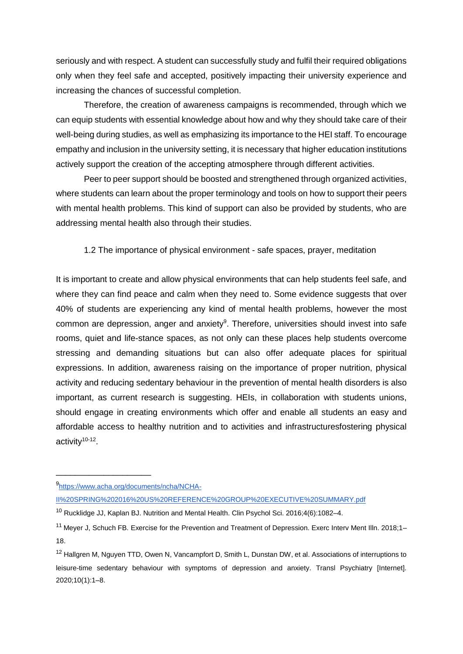seriously and with respect. A student can successfully study and fulfil their required obligations only when they feel safe and accepted, positively impacting their university experience and increasing the chances of successful completion.

Therefore, the creation of awareness campaigns is recommended, through which we can equip students with essential knowledge about how and why they should take care of their well-being during studies, as well as emphasizing its importance to the HEI staff. To encourage empathy and inclusion in the university setting, it is necessary that higher education institutions actively support the creation of the accepting atmosphere through different activities.

Peer to peer support should be boosted and strengthened through organized activities, where students can learn about the proper terminology and tools on how to support their peers with mental health problems. This kind of support can also be provided by students, who are addressing mental health also through their studies.

1.2 The importance of physical environment - safe spaces, prayer, meditation

It is important to create and allow physical environments that can help students feel safe, and where they can find peace and calm when they need to. Some evidence suggests that over 40% of students are experiencing any kind of mental health problems, however the most common are depression, anger and anxiety<sup>9</sup>. Therefore, universities should invest into safe rooms, quiet and life-stance spaces, as not only can these places help students overcome stressing and demanding situations but can also offer adequate places for spiritual expressions. In addition, awareness raising on the importance of proper nutrition, physical activity and reducing sedentary behaviour in the prevention of mental health disorders is also important, as current research is suggesting. HEIs, in collaboration with students unions, should engage in creating environments which offer and enable all students an easy and affordable access to healthy nutrition and to activities and infrastructuresfostering physical activity<sup>10-12</sup>.

\_\_\_\_\_\_\_\_\_\_\_\_\_\_\_\_\_\_\_\_

[II%20SPRING%202016%20US%20REFERENCE%20GROUP%20EXECUTIVE%20SUMMARY.pdf](https://www.acha.org/documents/ncha/NCHA-II%20SPRING%202016%20US%20REFERENCE%20GROUP%20EXECUTIVE%20SUMMARY.pdf)

<sup>9</sup>[https://www.acha.org/documents/ncha/NCHA-](https://www.acha.org/documents/ncha/NCHA-II%20SPRING%202016%20US%20REFERENCE%20GROUP%20EXECUTIVE%20SUMMARY.pdf)

<sup>&</sup>lt;sup>10</sup> Rucklidge JJ, Kaplan BJ. Nutrition and Mental Health. Clin Psychol Sci. 2016;4(6):1082-4.

<sup>&</sup>lt;sup>11</sup> Meyer J, Schuch FB. Exercise for the Prevention and Treatment of Depression. Exerc Interv Ment Illn. 2018;1– 18.

<sup>&</sup>lt;sup>12</sup> Hallgren M, Nguyen TTD, Owen N, Vancampfort D, Smith L, Dunstan DW, et al. Associations of interruptions to leisure-time sedentary behaviour with symptoms of depression and anxiety. Transl Psychiatry [Internet]. 2020;10(1):1–8.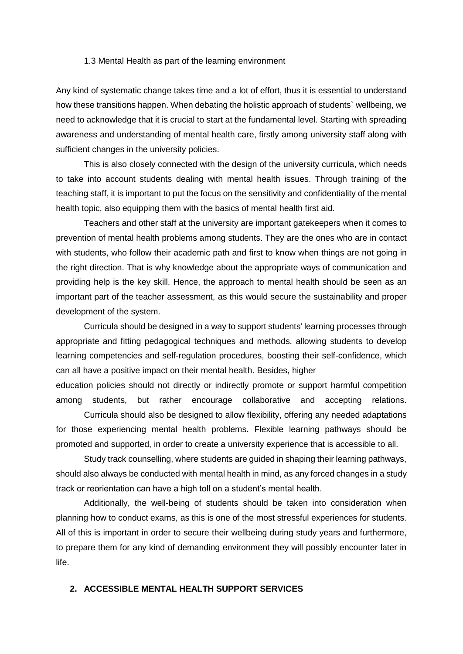#### 1.3 Mental Health as part of the learning environment

Any kind of systematic change takes time and a lot of effort, thus it is essential to understand how these transitions happen. When debating the holistic approach of students` wellbeing, we need to acknowledge that it is crucial to start at the fundamental level. Starting with spreading awareness and understanding of mental health care, firstly among university staff along with sufficient changes in the university policies.

This is also closely connected with the design of the university curricula, which needs to take into account students dealing with mental health issues. Through training of the teaching staff, it is important to put the focus on the sensitivity and confidentiality of the mental health topic, also equipping them with the basics of mental health first aid.

Teachers and other staff at the university are important gatekeepers when it comes to prevention of mental health problems among students. They are the ones who are in contact with students, who follow their academic path and first to know when things are not going in the right direction. That is why knowledge about the appropriate ways of communication and providing help is the key skill. Hence, the approach to mental health should be seen as an important part of the teacher assessment, as this would secure the sustainability and proper development of the system.

Curricula should be designed in a way to support students' learning processes through appropriate and fitting pedagogical techniques and methods, allowing students to develop learning competencies and self-regulation procedures, boosting their self-confidence, which can all have a positive impact on their mental health. Besides, higher

education policies should not directly or indirectly promote or support harmful competition among students, but rather encourage collaborative and accepting relations.

Curricula should also be designed to allow flexibility, offering any needed adaptations for those experiencing mental health problems. Flexible learning pathways should be promoted and supported, in order to create a university experience that is accessible to all.

Study track counselling, where students are guided in shaping their learning pathways, should also always be conducted with mental health in mind, as any forced changes in a study track or reorientation can have a high toll on a student's mental health.

Additionally, the well-being of students should be taken into consideration when planning how to conduct exams, as this is one of the most stressful experiences for students. All of this is important in order to secure their wellbeing during study years and furthermore, to prepare them for any kind of demanding environment they will possibly encounter later in life.

# **2. ACCESSIBLE MENTAL HEALTH SUPPORT SERVICES**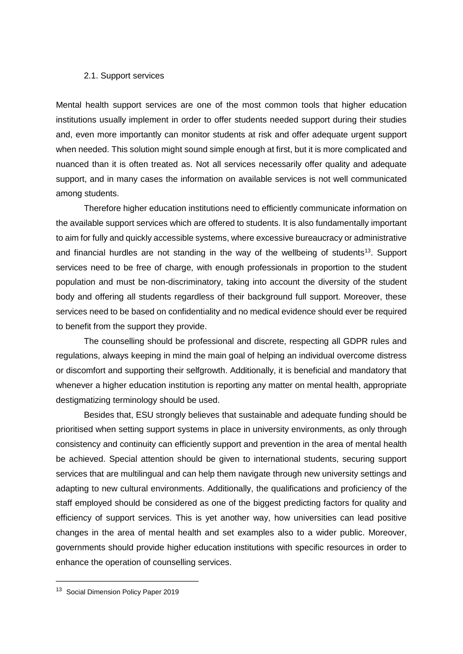#### 2.1. Support services

Mental health support services are one of the most common tools that higher education institutions usually implement in order to offer students needed support during their studies and, even more importantly can monitor students at risk and offer adequate urgent support when needed. This solution might sound simple enough at first, but it is more complicated and nuanced than it is often treated as. Not all services necessarily offer quality and adequate support, and in many cases the information on available services is not well communicated among students.

Therefore higher education institutions need to efficiently communicate information on the available support services which are offered to students. It is also fundamentally important to aim for fully and quickly accessible systems, where excessive bureaucracy or administrative and financial hurdles are not standing in the way of the wellbeing of students<sup>13</sup>. Support services need to be free of charge, with enough professionals in proportion to the student population and must be non-discriminatory, taking into account the diversity of the student body and offering all students regardless of their background full support. Moreover, these services need to be based on confidentiality and no medical evidence should ever be required to benefit from the support they provide.

The counselling should be professional and discrete, respecting all GDPR rules and regulations, always keeping in mind the main goal of helping an individual overcome distress or discomfort and supporting their selfgrowth. Additionally, it is beneficial and mandatory that whenever a higher education institution is reporting any matter on mental health, appropriate destigmatizing terminology should be used.

Besides that, ESU strongly believes that sustainable and adequate funding should be prioritised when setting support systems in place in university environments, as only through consistency and continuity can efficiently support and prevention in the area of mental health be achieved. Special attention should be given to international students, securing support services that are multilingual and can help them navigate through new university settings and adapting to new cultural environments. Additionally, the qualifications and proficiency of the staff employed should be considered as one of the biggest predicting factors for quality and efficiency of support services. This is yet another way, how universities can lead positive changes in the area of mental health and set examples also to a wider public. Moreover, governments should provide higher education institutions with specific resources in order to enhance the operation of counselling services.

\_\_\_\_\_\_\_\_\_\_\_\_\_\_\_\_\_\_\_\_\_\_\_\_\_\_\_\_\_\_

<sup>&</sup>lt;sup>13</sup> Social Dimension Policy Paper 2019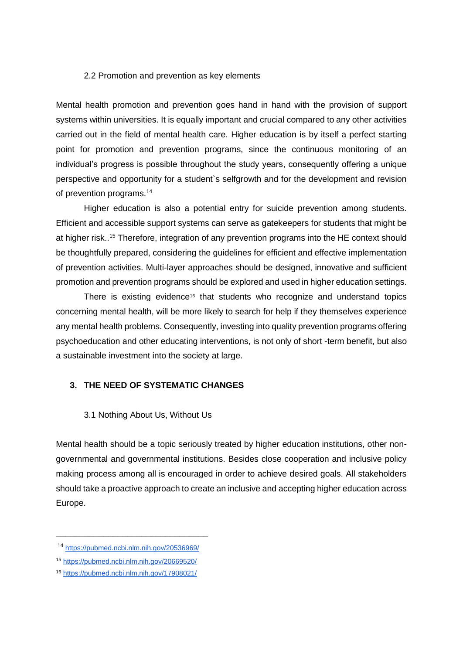## 2.2 Promotion and prevention as key elements

Mental health promotion and prevention goes hand in hand with the provision of support systems within universities. It is equally important and crucial compared to any other activities carried out in the field of mental health care. Higher education is by itself a perfect starting point for promotion and prevention programs, since the continuous monitoring of an individual's progress is possible throughout the study years, consequently offering a unique perspective and opportunity for a student`s selfgrowth and for the development and revision of prevention programs.<sup>14</sup>

Higher education is also a potential entry for suicide prevention among students. Efficient and accessible support systems can serve as gatekeepers for students that might be at higher risk..<sup>15</sup> Therefore, integration of any prevention programs into the HE context should be thoughtfully prepared, considering the guidelines for efficient and effective implementation of prevention activities. Multi-layer approaches should be designed, innovative and sufficient promotion and prevention programs should be explored and used in higher education settings.

There is existing evidence<sup>16</sup> that students who recognize and understand topics concerning mental health, will be more likely to search for help if they themselves experience any mental health problems. Consequently, investing into quality prevention programs offering psychoeducation and other educating interventions, is not only of short -term benefit, but also a sustainable investment into the society at large.

# **3. THE NEED OF SYSTEMATIC CHANGES**

#### 3.1 Nothing About Us, Without Us

Mental health should be a topic seriously treated by higher education institutions, other nongovernmental and governmental institutions. Besides close cooperation and inclusive policy making process among all is encouraged in order to achieve desired goals. All stakeholders should take a proactive approach to create an inclusive and accepting higher education across Europe.

\_\_\_\_\_\_\_\_\_\_\_\_\_\_\_\_\_\_\_\_\_\_\_\_\_\_\_\_\_\_\_\_

<sup>14</sup> <https://pubmed.ncbi.nlm.nih.gov/20536969/>

<sup>15</sup> <https://pubmed.ncbi.nlm.nih.gov/20669520/>

<sup>16</sup> <https://pubmed.ncbi.nlm.nih.gov/17908021/>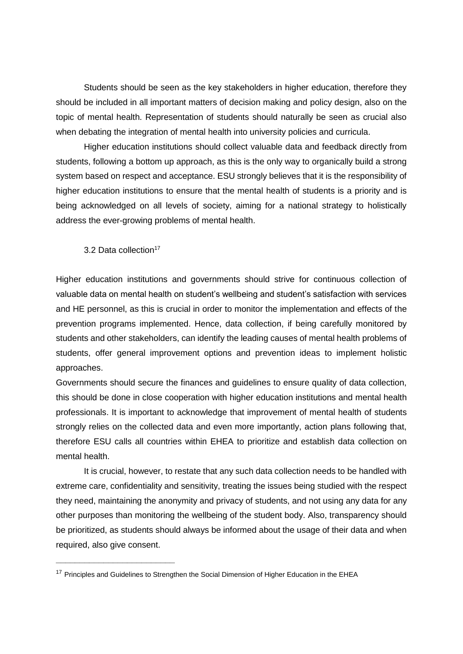Students should be seen as the key stakeholders in higher education, therefore they should be included in all important matters of decision making and policy design, also on the topic of mental health. Representation of students should naturally be seen as crucial also when debating the integration of mental health into university policies and curricula.

Higher education institutions should collect valuable data and feedback directly from students, following a bottom up approach, as this is the only way to organically build a strong system based on respect and acceptance. ESU strongly believes that it is the responsibility of higher education institutions to ensure that the mental health of students is a priority and is being acknowledged on all levels of society, aiming for a national strategy to holistically address the ever-growing problems of mental health.

3.2 Data collection<sup>17</sup>

**\_\_\_\_\_\_\_\_\_\_\_\_\_\_\_\_\_\_\_\_\_\_\_\_\_**

Higher education institutions and governments should strive for continuous collection of valuable data on mental health on student's wellbeing and student's satisfaction with services and HE personnel, as this is crucial in order to monitor the implementation and effects of the prevention programs implemented. Hence, data collection, if being carefully monitored by students and other stakeholders, can identify the leading causes of mental health problems of students, offer general improvement options and prevention ideas to implement holistic approaches.

Governments should secure the finances and guidelines to ensure quality of data collection, this should be done in close cooperation with higher education institutions and mental health professionals. It is important to acknowledge that improvement of mental health of students strongly relies on the collected data and even more importantly, action plans following that, therefore ESU calls all countries within EHEA to prioritize and establish data collection on mental health.

It is crucial, however, to restate that any such data collection needs to be handled with extreme care, confidentiality and sensitivity, treating the issues being studied with the respect they need, maintaining the anonymity and privacy of students, and not using any data for any other purposes than monitoring the wellbeing of the student body. Also, transparency should be prioritized, as students should always be informed about the usage of their data and when required, also give consent.

<sup>&</sup>lt;sup>17</sup> Principles and Guidelines to Strengthen the Social Dimension of Higher Education in the EHEA